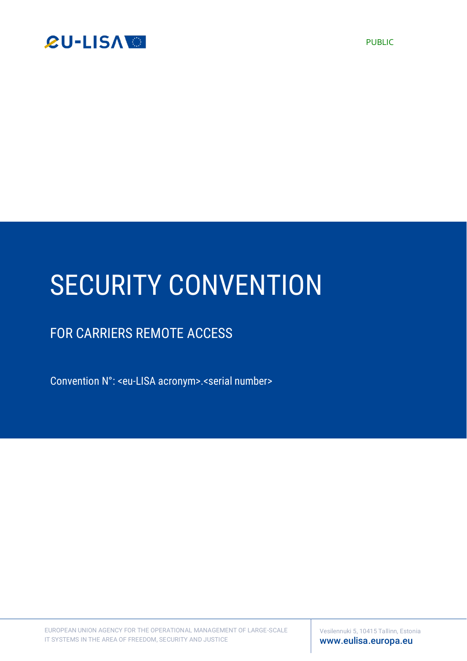

# SECURITY CONVENTION

# FOR CARRIERS REMOTE ACCESS

Convention N°: <eu-LISA acronym>.<serial number>

EUROPEAN UNION AGENCY FOR THE OPERATIONAL MANAGEMENT OF LARGE-SCALE IT SYSTEMS IN THE AREA OF FREEDOM, SECURITY AND JUSTICE

Vesilennuki 5, 10415 Tallinn, Estonia [www.eulisa.europa.eu](http://www.eulisa.europa.eu/)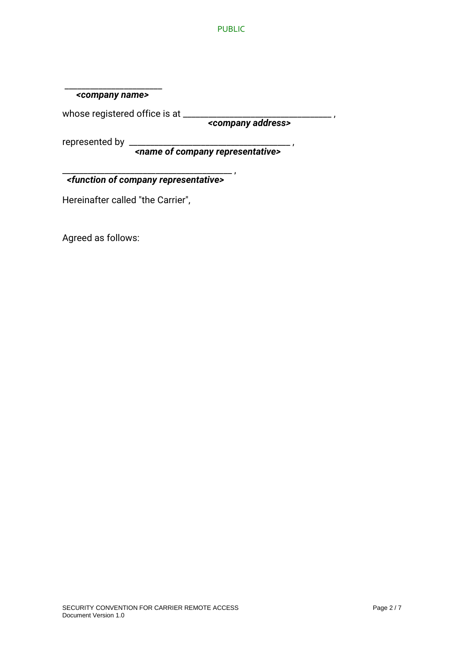#### \_\_\_\_\_\_\_\_\_\_\_\_\_\_\_\_\_\_\_\_\_\_\_  *<company name>*

whose registered office is at \_\_\_\_\_\_\_\_\_\_\_\_\_\_\_\_\_\_\_\_\_\_\_\_\_\_\_\_\_\_\_\_\_\_\_ ,

 *<company address>*

represented by \_\_\_\_\_\_\_\_\_\_\_\_\_\_\_\_\_\_\_\_\_\_\_\_\_\_\_\_\_\_\_\_\_\_\_\_\_\_ ,

 *<name of company representative>*

\_\_\_\_\_\_\_\_\_\_\_\_\_\_\_\_\_\_\_\_\_\_\_\_\_\_\_\_\_\_\_\_\_\_\_\_\_\_\_\_ , *<function of company representative>*

Hereinafter called "the Carrier",

Agreed as follows: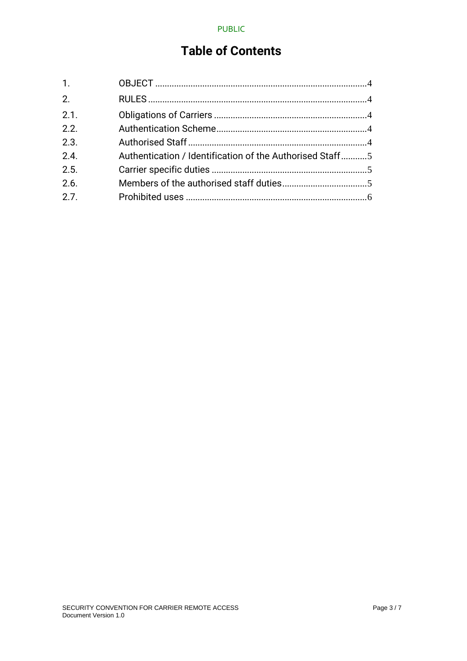# **Table of Contents**

| $\mathbf{1}$ .   |                                                          |  |
|------------------|----------------------------------------------------------|--|
| $\overline{2}$ . |                                                          |  |
| 2.1.             |                                                          |  |
| 2.2.             |                                                          |  |
| 2.3.             |                                                          |  |
| 2.4.             | Authentication / Identification of the Authorised Staff5 |  |
| 2.5.             |                                                          |  |
| 2.6.             |                                                          |  |
| 2.7.             |                                                          |  |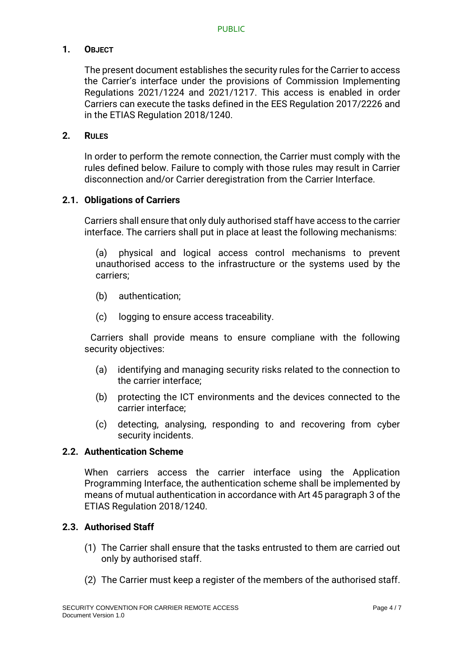# **1. OBJECT**

The present document establishes the security rules for the Carrier to access the Carrier's interface under the provisions of Commission Implementing Regulations 2021/1224 and 2021/1217. This access is enabled in order Carriers can execute the tasks defined in the EES Regulation 2017/2226 and in the ETIAS Regulation 2018/1240.

#### **2. RULES**

In order to perform the remote connection, the Carrier must comply with the rules defined below. Failure to comply with those rules may result in Carrier disconnection and/or Carrier deregistration from the Carrier Interface.

#### **2.1. Obligations of Carriers**

Carriers shall ensure that only duly authorised staff have access to the carrier interface. The carriers shall put in place at least the following mechanisms:

(a) physical and logical access control mechanisms to prevent unauthorised access to the infrastructure or the systems used by the carriers;

- (b) authentication;
- (c) logging to ensure access traceability.

Carriers shall provide means to ensure compliane with the following security objectives:

- (a) identifying and managing security risks related to the connection to the carrier interface;
- (b) protecting the ICT environments and the devices connected to the carrier interface;
- (c) detecting, analysing, responding to and recovering from cyber security incidents.

#### **2.2. Authentication Scheme**

When carriers access the carrier interface using the Application Programming Interface, the authentication scheme shall be implemented by means of mutual authentication in accordance with Art 45 paragraph 3 of the ETIAS Regulation 2018/1240.

#### **2.3. Authorised Staff**

- (1) The Carrier shall ensure that the tasks entrusted to them are carried out only by authorised staff.
- (2) The Carrier must keep a register of the members of the authorised staff.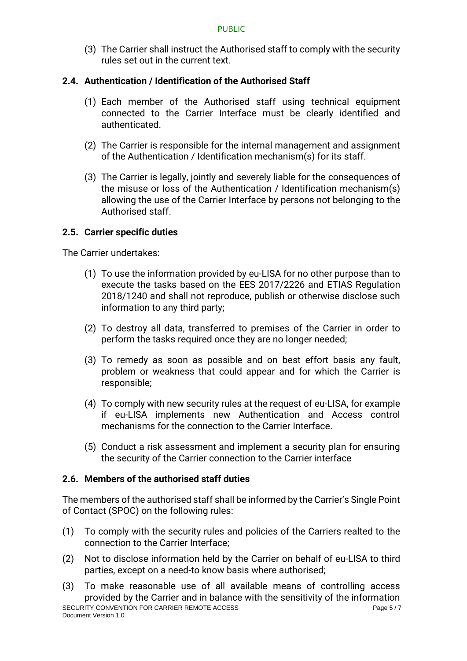(3) The Carrier shall instruct the Authorised staff to comply with the security rules set out in the current text.

# **2.4. Authentication / Identification of the Authorised Staff**

- (1) Each member of the Authorised staff using technical equipment connected to the Carrier Interface must be clearly identified and authenticated.
- (2) The Carrier is responsible for the internal management and assignment of the Authentication / Identification mechanism(s) for its staff.
- (3) The Carrier is legally, jointly and severely liable for the consequences of the misuse or loss of the Authentication / Identification mechanism(s) allowing the use of the Carrier Interface by persons not belonging to the Authorised staff.

# **2.5. Carrier specific duties**

The Carrier undertakes:

- (1) To use the information provided by eu-LISA for no other purpose than to execute the tasks based on the EES 2017/2226 and ETIAS Regulation 2018/1240 and shall not reproduce, publish or otherwise disclose such information to any third party;
- (2) To destroy all data, transferred to premises of the Carrier in order to perform the tasks required once they are no longer needed;
- (3) To remedy as soon as possible and on best effort basis any fault, problem or weakness that could appear and for which the Carrier is responsible;
- (4) To comply with new security rules at the request of eu-LISA, for example if eu-LISA implements new Authentication and Access control mechanisms for the connection to the Carrier Interface.
- (5) Conduct a risk assessment and implement a security plan for ensuring the security of the Carrier connection to the Carrier interface

# **2.6. Members of the authorised staff duties**

The members of the authorised staff shall be informed by the Carrier's Single Point of Contact (SPOC) on the following rules:

- (1) To comply with the security rules and policies of the Carriers realted to the connection to the Carrier Interface;
- (2) Not to disclose information held by the Carrier on behalf of eu-LISA to third parties, except on a need-to know basis where authorised;
- SECURITY CONVENTION FOR CARRIER REMOTE ACCESS PAGE 2014 12:00 Page 5 / 7 Document Version 1.0 (3) To make reasonable use of all available means of controlling access provided by the Carrier and in balance with the sensitivity of the information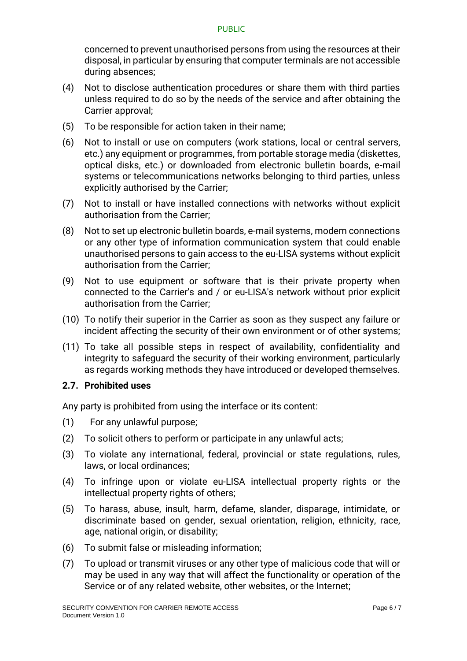concerned to prevent unauthorised persons from using the resources at their disposal, in particular by ensuring that computer terminals are not accessible during absences;

- (4) Not to disclose authentication procedures or share them with third parties unless required to do so by the needs of the service and after obtaining the Carrier approval;
- (5) To be responsible for action taken in their name;
- (6) Not to install or use on computers (work stations, local or central servers, etc.) any equipment or programmes, from portable storage media (diskettes, optical disks, etc.) or downloaded from electronic bulletin boards, e-mail systems or telecommunications networks belonging to third parties, unless explicitly authorised by the Carrier;
- (7) Not to install or have installed connections with networks without explicit authorisation from the Carrier;
- (8) Not to set up electronic bulletin boards, e-mail systems, modem connections or any other type of information communication system that could enable unauthorised persons to gain access to the eu-LISA systems without explicit authorisation from the Carrier;
- (9) Not to use equipment or software that is their private property when connected to the Carrier's and / or eu-LISA's network without prior explicit authorisation from the Carrier;
- (10) To notify their superior in the Carrier as soon as they suspect any failure or incident affecting the security of their own environment or of other systems;
- (11) To take all possible steps in respect of availability, confidentiality and integrity to safeguard the security of their working environment, particularly as regards working methods they have introduced or developed themselves.

# **2.7. Prohibited uses**

Any party is prohibited from using the interface or its content:

- (1) For any unlawful purpose;
- (2) To solicit others to perform or participate in any unlawful acts;
- (3) To violate any international, federal, provincial or state regulations, rules, laws, or local ordinances;
- (4) To infringe upon or violate eu-LISA intellectual property rights or the intellectual property rights of others;
- (5) To harass, abuse, insult, harm, defame, slander, disparage, intimidate, or discriminate based on gender, sexual orientation, religion, ethnicity, race, age, national origin, or disability;
- (6) To submit false or misleading information;
- (7) To upload or transmit viruses or any other type of malicious code that will or may be used in any way that will affect the functionality or operation of the Service or of any related website, other websites, or the Internet;